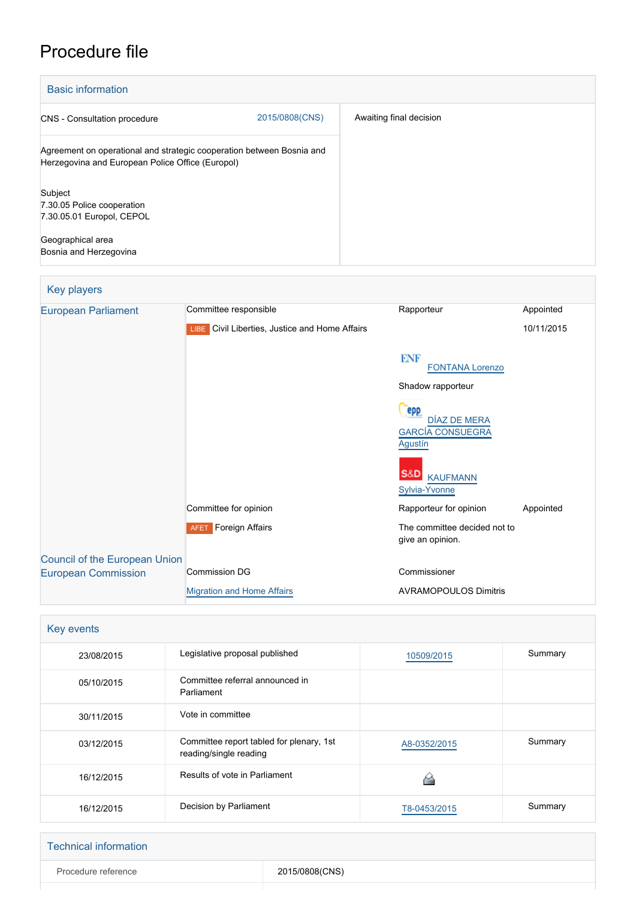# Procedure file

| <b>Basic information</b>                                                                                                  |                |                         |
|---------------------------------------------------------------------------------------------------------------------------|----------------|-------------------------|
| <b>CNS</b> - Consultation procedure                                                                                       | 2015/0808(CNS) | Awaiting final decision |
| Agreement on operational and strategic cooperation between Bosnia and<br>Herzegovina and European Police Office (Europol) |                |                         |
| Subject<br>7.30.05 Police cooperation<br>7.30.05.01 Europol, CEPOL                                                        |                |                         |
| Geographical area<br>Bosnia and Herzegovina                                                                               |                |                         |

### Key players

| <b>European Parliament</b>           | Committee responsible                          | Rapporteur                                       | Appointed  |
|--------------------------------------|------------------------------------------------|--------------------------------------------------|------------|
|                                      | LIBE Civil Liberties, Justice and Home Affairs |                                                  | 10/11/2015 |
|                                      |                                                | <b>ENF</b><br><b>FONTANA Lorenzo</b>             |            |
|                                      |                                                | Shadow rapporteur                                |            |
|                                      |                                                | <b>epp</b><br>DÍAZ DE MERA                       |            |
|                                      |                                                | <b>GARCÍA CONSUEGRA</b><br>Agustín               |            |
|                                      |                                                | S&D<br><b>KAUFMANN</b><br>Sylvia-Yvonne          |            |
|                                      | Committee for opinion                          | Rapporteur for opinion                           | Appointed  |
|                                      | <b>AFET</b> Foreign Affairs                    | The committee decided not to<br>give an opinion. |            |
| <b>Council of the European Union</b> |                                                |                                                  |            |
| <b>European Commission</b>           | <b>Commission DG</b>                           | Commissioner                                     |            |
|                                      | <b>Migration and Home Affairs</b>              | <b>AVRAMOPOULOS Dimitris</b>                     |            |

| Key events |                                                                    |              |         |
|------------|--------------------------------------------------------------------|--------------|---------|
| 23/08/2015 | Legislative proposal published                                     | 10509/2015   | Summary |
| 05/10/2015 | Committee referral announced in<br>Parliament                      |              |         |
| 30/11/2015 | Vote in committee                                                  |              |         |
| 03/12/2015 | Committee report tabled for plenary, 1st<br>reading/single reading | A8-0352/2015 | Summary |
| 16/12/2015 | Results of vote in Parliament                                      |              |         |
| 16/12/2015 | Decision by Parliament                                             | T8-0453/2015 | Summary |

| <b>Technical information</b> |                |
|------------------------------|----------------|
| Procedure reference          | 2015/0808(CNS) |
|                              |                |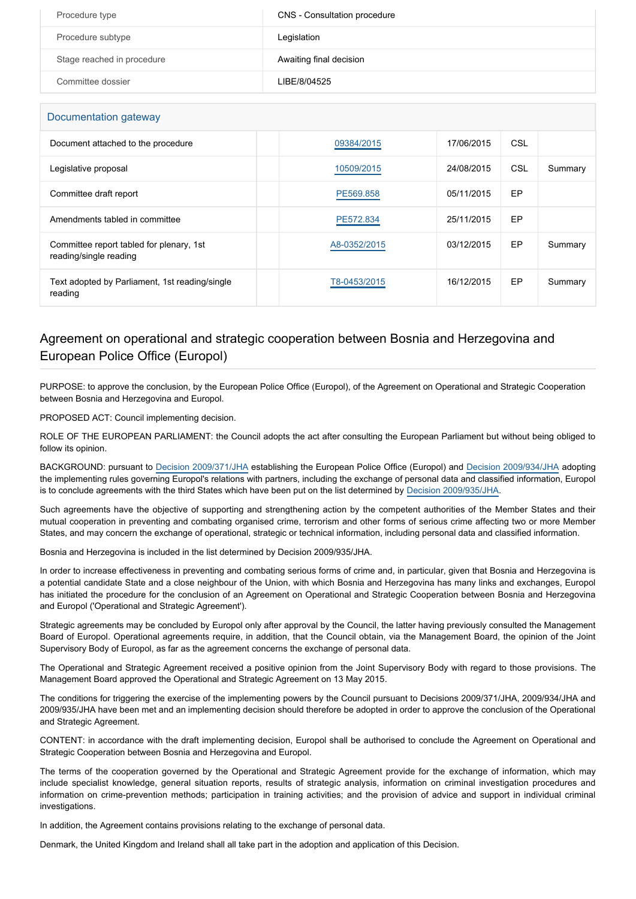| Procedure type             | CNS - Consultation procedure |
|----------------------------|------------------------------|
| Procedure subtype          | Legislation                  |
| Stage reached in procedure | Awaiting final decision      |
| Committee dossier          | LIBE/8/04525                 |

#### Documentation gateway

| <b>Boodinghandi</b> galeway                                        |              |            |           |         |
|--------------------------------------------------------------------|--------------|------------|-----------|---------|
| Document attached to the procedure                                 | 09384/2015   | 17/06/2015 | CSL       |         |
| Legislative proposal                                               | 10509/2015   | 24/08/2015 | CSL       | Summary |
| Committee draft report                                             | PE569.858    | 05/11/2015 | EP        |         |
| Amendments tabled in committee                                     | PE572.834    | 25/11/2015 | EP        |         |
| Committee report tabled for plenary, 1st<br>reading/single reading | A8-0352/2015 | 03/12/2015 | EP        | Summary |
| Text adopted by Parliament, 1st reading/single<br>reading          | T8-0453/2015 | 16/12/2015 | <b>EP</b> | Summary |

#### Agreement on operational and strategic cooperation between Bosnia and Herzegovina and European Police Office (Europol)

PURPOSE: to approve the conclusion, by the European Police Office (Europol), of the Agreement on Operational and Strategic Cooperation between Bosnia and Herzegovina and Europol.

PROPOSED ACT: Council implementing decision.

ROLE OF THE EUROPEAN PARLIAMENT: the Council adopts the act after consulting the European Parliament but without being obliged to follow its opinion.

BACKGROUND: pursuant to [Decision 2009/371/JHA](http://www.europarl.europa.eu/oeil/popups/ficheprocedure.do?reference=2006/0310(CNS)&l=en) establishing the European Police Office (Europol) and [Decision 2009/934/JHA](http://www.europarl.europa.eu/oeil/popups/ficheprocedure.do?reference=2009/0808(CNS)&l=en) adopting the implementing rules governing Europol's relations with partners, including the exchange of personal data and classified information, Europol is to conclude agreements with the third States which have been put on the list determined by [Decision 2009/935/JHA](http://www.europarl.europa.eu/oeil/popups/ficheprocedure.do?reference=2009/0809(CNS)&l=en).

Such agreements have the objective of supporting and strengthening action by the competent authorities of the Member States and their mutual cooperation in preventing and combating organised crime, terrorism and other forms of serious crime affecting two or more Member States, and may concern the exchange of operational, strategic or technical information, including personal data and classified information.

Bosnia and Herzegovina is included in the list determined by Decision 2009/935/JHA.

In order to increase effectiveness in preventing and combating serious forms of crime and, in particular, given that Bosnia and Herzegovina is a potential candidate State and a close neighbour of the Union, with which Bosnia and Herzegovina has many links and exchanges, Europol has initiated the procedure for the conclusion of an Agreement on Operational and Strategic Cooperation between Bosnia and Herzegovina and Europol ('Operational and Strategic Agreement').

Strategic agreements may be concluded by Europol only after approval by the Council, the latter having previously consulted the Management Board of Europol. Operational agreements require, in addition, that the Council obtain, via the Management Board, the opinion of the Joint Supervisory Body of Europol, as far as the agreement concerns the exchange of personal data.

The Operational and Strategic Agreement received a positive opinion from the Joint Supervisory Body with regard to those provisions. The Management Board approved the Operational and Strategic Agreement on 13 May 2015.

The conditions for triggering the exercise of the implementing powers by the Council pursuant to Decisions 2009/371/JHA, 2009/934/JHA and 2009/935/JHA have been met and an implementing decision should therefore be adopted in order to approve the conclusion of the Operational and Strategic Agreement.

CONTENT: in accordance with the draft implementing decision, Europol shall be authorised to conclude the Agreement on Operational and Strategic Cooperation between Bosnia and Herzegovina and Europol.

The terms of the cooperation governed by the Operational and Strategic Agreement provide for the exchange of information, which may include specialist knowledge, general situation reports, results of strategic analysis, information on criminal investigation procedures and information on crime-prevention methods; participation in training activities; and the provision of advice and support in individual criminal investigations.

In addition, the Agreement contains provisions relating to the exchange of personal data.

Denmark, the United Kingdom and Ireland shall all take part in the adoption and application of this Decision.